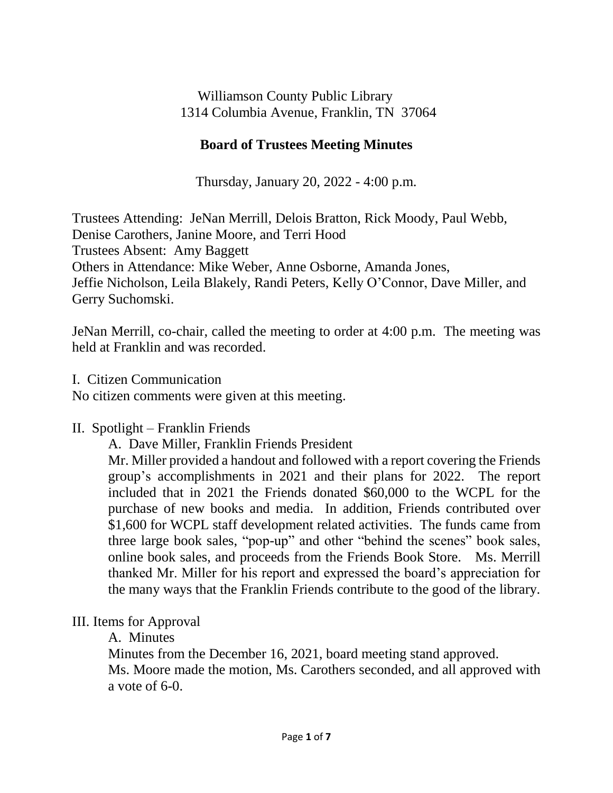Williamson County Public Library 1314 Columbia Avenue, Franklin, TN 37064

# **Board of Trustees Meeting Minutes**

Thursday, January 20, 2022 - 4:00 p.m.

Trustees Attending: JeNan Merrill, Delois Bratton, Rick Moody, Paul Webb, Denise Carothers, Janine Moore, and Terri Hood Trustees Absent: Amy Baggett Others in Attendance: Mike Weber, Anne Osborne, Amanda Jones, Jeffie Nicholson, Leila Blakely, Randi Peters, Kelly O'Connor, Dave Miller, and Gerry Suchomski.

JeNan Merrill, co-chair, called the meeting to order at 4:00 p.m. The meeting was held at Franklin and was recorded.

## I. Citizen Communication

No citizen comments were given at this meeting.

#### II. Spotlight – Franklin Friends

A. Dave Miller, Franklin Friends President

Mr. Miller provided a handout and followed with a report covering the Friends group's accomplishments in 2021 and their plans for 2022. The report included that in 2021 the Friends donated \$60,000 to the WCPL for the purchase of new books and media. In addition, Friends contributed over \$1,600 for WCPL staff development related activities. The funds came from three large book sales, "pop-up" and other "behind the scenes" book sales, online book sales, and proceeds from the Friends Book Store. Ms. Merrill thanked Mr. Miller for his report and expressed the board's appreciation for the many ways that the Franklin Friends contribute to the good of the library.

# III. Items for Approval

A. Minutes

Minutes from the December 16, 2021, board meeting stand approved.

Ms. Moore made the motion, Ms. Carothers seconded, and all approved with a vote of 6-0.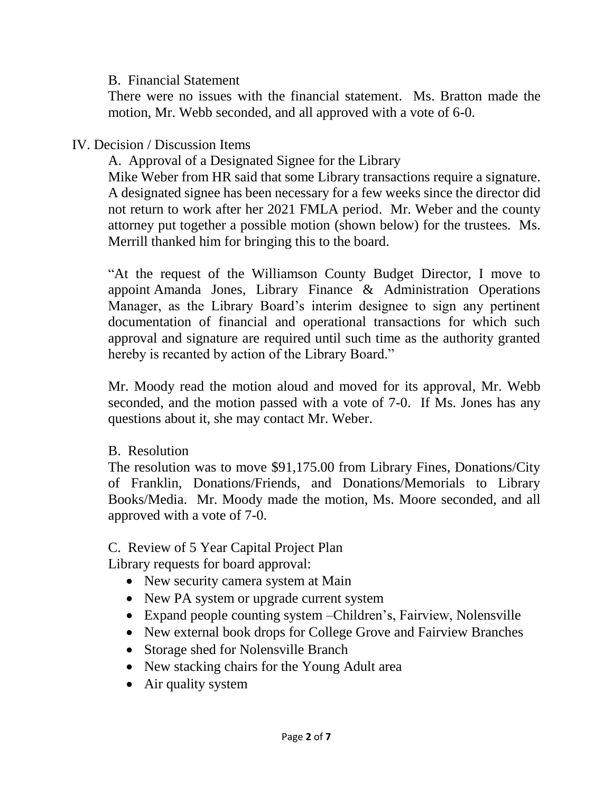#### B. Financial Statement

There were no issues with the financial statement. Ms. Bratton made the motion, Mr. Webb seconded, and all approved with a vote of 6-0.

## IV. Decision / Discussion Items

A. Approval of a Designated Signee for the Library

Mike Weber from HR said that some Library transactions require a signature. A designated signee has been necessary for a few weeks since the director did not return to work after her 2021 FMLA period. Mr. Weber and the county attorney put together a possible motion (shown below) for the trustees. Ms. Merrill thanked him for bringing this to the board.

"At the request of the Williamson County Budget Director, I move to appoint Amanda Jones, Library Finance & Administration Operations Manager, as the Library Board's interim designee to sign any pertinent documentation of financial and operational transactions for which such approval and signature are required until such time as the authority granted hereby is recanted by action of the Library Board."

Mr. Moody read the motion aloud and moved for its approval, Mr. Webb seconded, and the motion passed with a vote of 7-0. If Ms. Jones has any questions about it, she may contact Mr. Weber.

#### B. Resolution

The resolution was to move \$91,175.00 from Library Fines, Donations/City of Franklin, Donations/Friends, and Donations/Memorials to Library Books/Media. Mr. Moody made the motion, Ms. Moore seconded, and all approved with a vote of 7-0.

# C. Review of 5 Year Capital Project Plan

Library requests for board approval:

- New security camera system at Main
- New PA system or upgrade current system
- Expand people counting system –Children's, Fairview, Nolensville
- New external book drops for College Grove and Fairview Branches
- Storage shed for Nolensville Branch
- New stacking chairs for the Young Adult area
- Air quality system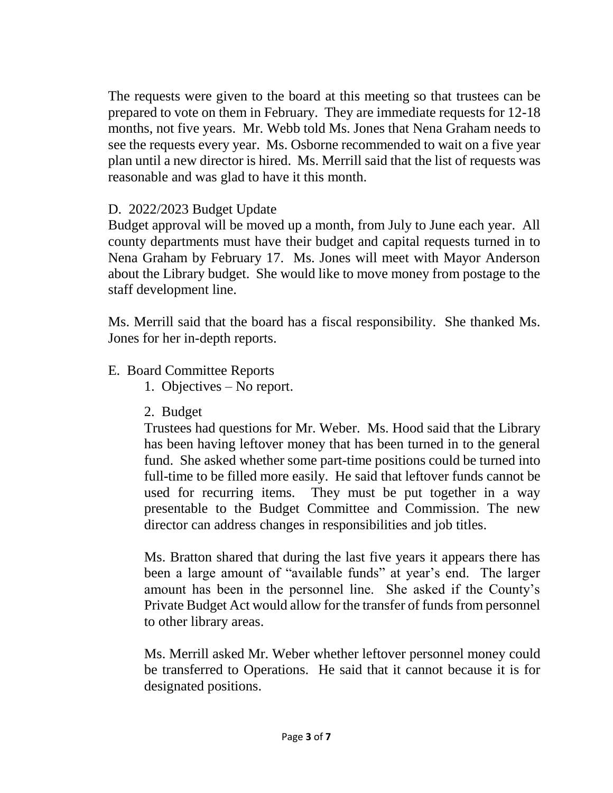The requests were given to the board at this meeting so that trustees can be prepared to vote on them in February. They are immediate requests for 12-18 months, not five years. Mr. Webb told Ms. Jones that Nena Graham needs to see the requests every year. Ms. Osborne recommended to wait on a five year plan until a new director is hired. Ms. Merrill said that the list of requests was reasonable and was glad to have it this month.

# D. 2022/2023 Budget Update

Budget approval will be moved up a month, from July to June each year. All county departments must have their budget and capital requests turned in to Nena Graham by February 17. Ms. Jones will meet with Mayor Anderson about the Library budget. She would like to move money from postage to the staff development line.

Ms. Merrill said that the board has a fiscal responsibility. She thanked Ms. Jones for her in-depth reports.

## E. Board Committee Reports

- 1. Objectives No report.
- 2. Budget

Trustees had questions for Mr. Weber. Ms. Hood said that the Library has been having leftover money that has been turned in to the general fund. She asked whether some part-time positions could be turned into full-time to be filled more easily. He said that leftover funds cannot be used for recurring items. They must be put together in a way presentable to the Budget Committee and Commission. The new director can address changes in responsibilities and job titles.

Ms. Bratton shared that during the last five years it appears there has been a large amount of "available funds" at year's end. The larger amount has been in the personnel line. She asked if the County's Private Budget Act would allow for the transfer of funds from personnel to other library areas.

Ms. Merrill asked Mr. Weber whether leftover personnel money could be transferred to Operations. He said that it cannot because it is for designated positions.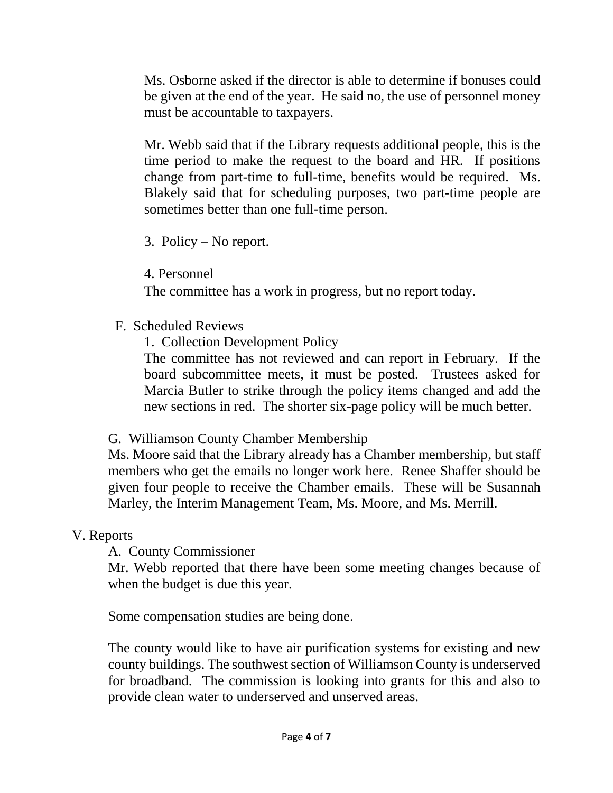Ms. Osborne asked if the director is able to determine if bonuses could be given at the end of the year. He said no, the use of personnel money must be accountable to taxpayers.

Mr. Webb said that if the Library requests additional people, this is the time period to make the request to the board and HR. If positions change from part-time to full-time, benefits would be required. Ms. Blakely said that for scheduling purposes, two part-time people are sometimes better than one full-time person.

3. Policy – No report.

4. Personnel

The committee has a work in progress, but no report today.

F. Scheduled Reviews

1. Collection Development Policy

The committee has not reviewed and can report in February. If the board subcommittee meets, it must be posted. Trustees asked for Marcia Butler to strike through the policy items changed and add the new sections in red. The shorter six-page policy will be much better.

#### G. Williamson County Chamber Membership

Ms. Moore said that the Library already has a Chamber membership, but staff members who get the emails no longer work here. Renee Shaffer should be given four people to receive the Chamber emails. These will be Susannah Marley, the Interim Management Team, Ms. Moore, and Ms. Merrill.

#### V. Reports

A. County Commissioner

Mr. Webb reported that there have been some meeting changes because of when the budget is due this year.

Some compensation studies are being done.

The county would like to have air purification systems for existing and new county buildings. The southwest section of Williamson County is underserved for broadband. The commission is looking into grants for this and also to provide clean water to underserved and unserved areas.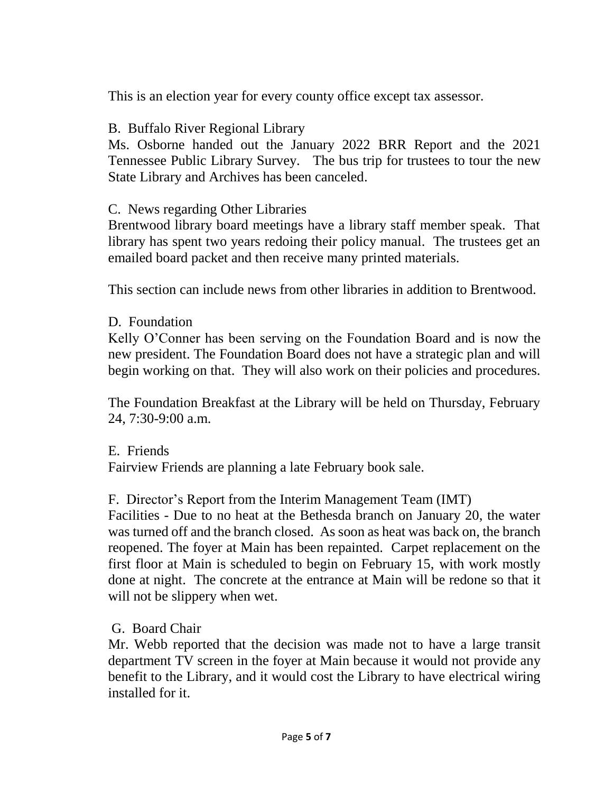This is an election year for every county office except tax assessor.

# B. Buffalo River Regional Library

Ms. Osborne handed out the January 2022 BRR Report and the 2021 Tennessee Public Library Survey. The bus trip for trustees to tour the new State Library and Archives has been canceled.

## C. News regarding Other Libraries

Brentwood library board meetings have a library staff member speak. That library has spent two years redoing their policy manual. The trustees get an emailed board packet and then receive many printed materials.

This section can include news from other libraries in addition to Brentwood.

## D. Foundation

Kelly O'Conner has been serving on the Foundation Board and is now the new president. The Foundation Board does not have a strategic plan and will begin working on that. They will also work on their policies and procedures.

The Foundation Breakfast at the Library will be held on Thursday, February 24, 7:30-9:00 a.m.

# E. Friends Fairview Friends are planning a late February book sale.

# F. Director's Report from the Interim Management Team (IMT)

Facilities - Due to no heat at the Bethesda branch on January 20, the water was turned off and the branch closed. As soon as heat was back on, the branch reopened. The foyer at Main has been repainted. Carpet replacement on the first floor at Main is scheduled to begin on February 15, with work mostly done at night. The concrete at the entrance at Main will be redone so that it will not be slippery when wet.

#### G. Board Chair

Mr. Webb reported that the decision was made not to have a large transit department TV screen in the foyer at Main because it would not provide any benefit to the Library, and it would cost the Library to have electrical wiring installed for it.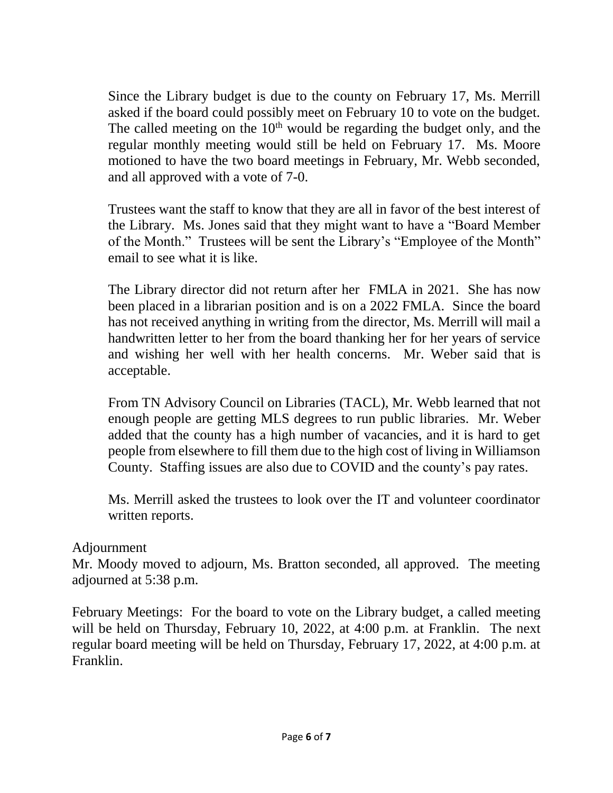Since the Library budget is due to the county on February 17, Ms. Merrill asked if the board could possibly meet on February 10 to vote on the budget. The called meeting on the  $10<sup>th</sup>$  would be regarding the budget only, and the regular monthly meeting would still be held on February 17. Ms. Moore motioned to have the two board meetings in February, Mr. Webb seconded, and all approved with a vote of 7-0.

Trustees want the staff to know that they are all in favor of the best interest of the Library. Ms. Jones said that they might want to have a "Board Member of the Month." Trustees will be sent the Library's "Employee of the Month" email to see what it is like.

The Library director did not return after her FMLA in 2021. She has now been placed in a librarian position and is on a 2022 FMLA. Since the board has not received anything in writing from the director, Ms. Merrill will mail a handwritten letter to her from the board thanking her for her years of service and wishing her well with her health concerns. Mr. Weber said that is acceptable.

From TN Advisory Council on Libraries (TACL), Mr. Webb learned that not enough people are getting MLS degrees to run public libraries. Mr. Weber added that the county has a high number of vacancies, and it is hard to get people from elsewhere to fill them due to the high cost of living in Williamson County. Staffing issues are also due to COVID and the county's pay rates.

Ms. Merrill asked the trustees to look over the IT and volunteer coordinator written reports.

#### Adjournment

Mr. Moody moved to adjourn, Ms. Bratton seconded, all approved. The meeting adjourned at 5:38 p.m.

February Meetings: For the board to vote on the Library budget, a called meeting will be held on Thursday, February 10, 2022, at 4:00 p.m. at Franklin. The next regular board meeting will be held on Thursday, February 17, 2022, at 4:00 p.m. at Franklin.